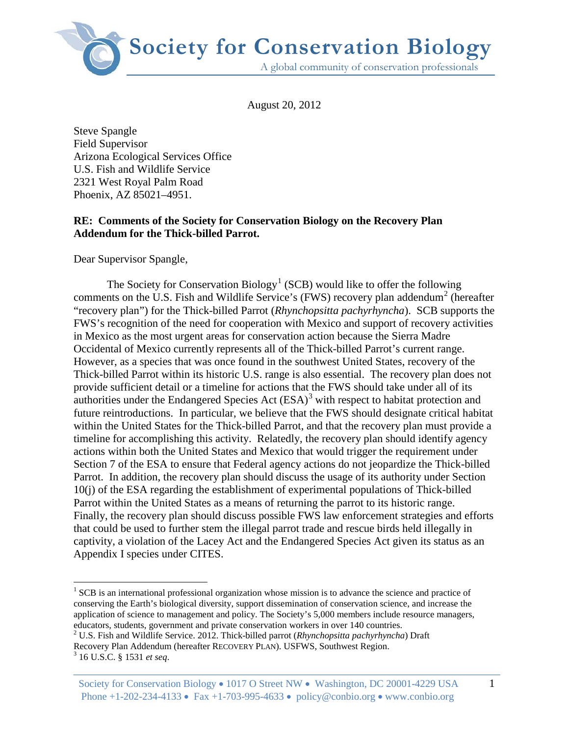

August 20, 2012

Steve Spangle Field Supervisor Arizona Ecological Services Office U.S. Fish and Wildlife Service 2321 West Royal Palm Road Phoenix, AZ 85021–4951.

# **RE: Comments of the Society for Conservation Biology on the Recovery Plan Addendum for the Thick-billed Parrot.**

Dear Supervisor Spangle,

The Society for Conservation Biology<sup>[1](#page-0-0)</sup> (SCB) would like to offer the following comments on the U.S. Fish and Wildlife Service's (FWS) recovery plan addendum<sup>[2](#page-0-1)</sup> (hereafter "recovery plan") for the Thick-billed Parrot (*Rhynchopsitta pachyrhyncha*). SCB supports the FWS's recognition of the need for cooperation with Mexico and support of recovery activities in Mexico as the most urgent areas for conservation action because the Sierra Madre Occidental of Mexico currently represents all of the Thick-billed Parrot's current range. However, as a species that was once found in the southwest United States, recovery of the Thick-billed Parrot within its historic U.S. range is also essential. The recovery plan does not provide sufficient detail or a timeline for actions that the FWS should take under all of its authorities under the Endangered Species Act  $(ESA)^3$  $(ESA)^3$  with respect to habitat protection and future reintroductions. In particular, we believe that the FWS should designate critical habitat within the United States for the Thick-billed Parrot, and that the recovery plan must provide a timeline for accomplishing this activity. Relatedly, the recovery plan should identify agency actions within both the United States and Mexico that would trigger the requirement under Section 7 of the ESA to ensure that Federal agency actions do not jeopardize the Thick-billed Parrot. In addition, the recovery plan should discuss the usage of its authority under Section 10(j) of the ESA regarding the establishment of experimental populations of Thick-billed Parrot within the United States as a means of returning the parrot to its historic range. Finally, the recovery plan should discuss possible FWS law enforcement strategies and efforts that could be used to further stem the illegal parrot trade and rescue birds held illegally in captivity, a violation of the Lacey Act and the Endangered Species Act given its status as an Appendix I species under CITES.

 $\overline{a}$ 

<span id="page-0-0"></span> $1$  SCB is an international professional organization whose mission is to advance the science and practice of conserving the Earth's biological diversity, support dissemination of conservation science, and increase the application of science to management and policy. The Society's 5,000 members include resource managers, educators, students, government and private conservation workers in over 140 countries.

<span id="page-0-1"></span><sup>2</sup> U.S. Fish and Wildlife Service. 2012. Thick-billed parrot (*Rhynchopsitta pachyrhyncha*) Draft Recovery Plan Addendum (hereafter RECOVERY PLAN). USFWS, Southwest Region. 3 16 U.S.C. § 1531 *et seq*.

<span id="page-0-2"></span>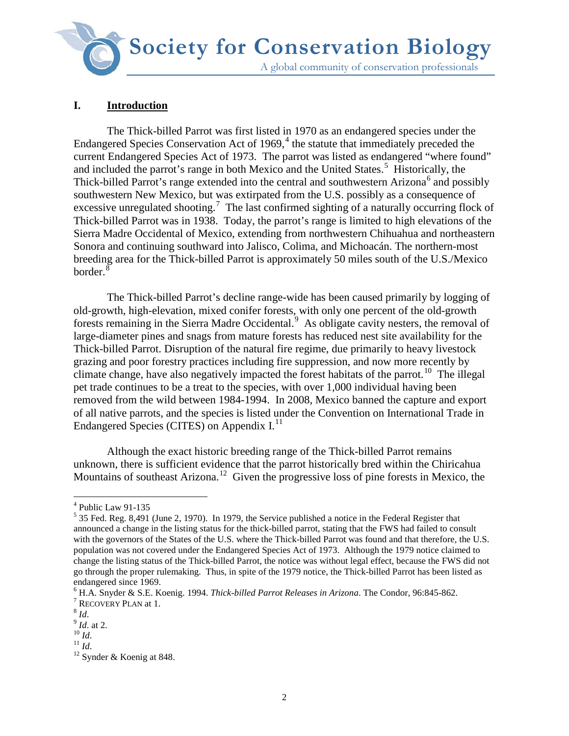**Society for Conservation Biology**A global community of conservation professionals

# **I. Introduction**

The Thick-billed Parrot was first listed in 1970 as an endangered species under the Endangered Species Conservation Act of  $1969<sup>4</sup>$  $1969<sup>4</sup>$  $1969<sup>4</sup>$ , the statute that immediately preceded the current Endangered Species Act of 1973. The parrot was listed as endangered "where found" and included the parrot's range in both Mexico and the United States.<sup>[5](#page-1-1)</sup> Historically, the Thick-billed Parrot's range extended into the central and southwestern Arizona<sup>[6](#page-1-2)</sup> and possibly southwestern New Mexico, but was extirpated from the U.S. possibly as a consequence of excessive unregulated shooting.<sup>[7](#page-1-3)</sup> The last confirmed sighting of a naturally occurring flock of Thick-billed Parrot was in 1938. Today, the parrot's range is limited to high elevations of the Sierra Madre Occidental of Mexico, extending from northwestern Chihuahua and northeastern Sonora and continuing southward into Jalisco, Colima, and Michoacán. The northern-most breeding area for the Thick-billed Parrot is approximately 50 miles south of the U.S./Mexico border. $\frac{8}{3}$  $\frac{8}{3}$  $\frac{8}{3}$ 

The Thick-billed Parrot's decline range-wide has been caused primarily by logging of old-growth, high-elevation, mixed conifer forests, with only one percent of the old-growth forests remaining in the Sierra Madre Occidental.<sup>[9](#page-1-5)</sup> As obligate cavity nesters, the removal of large-diameter pines and snags from mature forests has reduced nest site availability for the Thick-billed Parrot. Disruption of the natural fire regime, due primarily to heavy livestock grazing and poor forestry practices including fire suppression, and now more recently by climate change, have also negatively impacted the forest habitats of the parrot.<sup>10</sup> The illegal pet trade continues to be a treat to the species, with over 1,000 individual having been removed from the wild between 1984-1994. In 2008, Mexico banned the capture and export of all native parrots, and the species is listed under the Convention on International Trade in Endangered Species (CITES) on Appendix I.<sup>[11](#page-1-7)</sup>

Although the exact historic breeding range of the Thick-billed Parrot remains unknown, there is sufficient evidence that the parrot historically bred within the Chiricahua Mountains of southeast Arizona.<sup>[12](#page-1-8)</sup> Given the progressive loss of pine forests in Mexico, the

<span id="page-1-0"></span> $4$  Public Law 91-135

<span id="page-1-1"></span> $5$  35 Fed. Reg. 8,491 (June 2, 1970). In 1979, the Service published a notice in the Federal Register that announced a change in the listing status for the thick-billed parrot, stating that the FWS had failed to consult with the governors of the States of the U.S. where the Thick-billed Parrot was found and that therefore, the U.S. population was not covered under the Endangered Species Act of 1973. Although the 1979 notice claimed to change the listing status of the Thick-billed Parrot, the notice was without legal effect, because the FWS did not go through the proper rulemaking. Thus, in spite of the 1979 notice, the Thick-billed Parrot has been listed as endangered since 1969.

<span id="page-1-2"></span><sup>&</sup>lt;sup>6</sup> H.A. Snyder & S.E. Koenig. 1994. *Thick-billed Parrot Releases in Arizona*. The Condor, 96:845-862. <sup>7</sup> RECOVERY PLAN at 1.

<span id="page-1-8"></span><span id="page-1-7"></span><span id="page-1-6"></span>

<span id="page-1-5"></span><span id="page-1-4"></span><span id="page-1-3"></span><sup>&</sup>lt;sup>8</sup> *Id.* at 2.<br>
<sup>9</sup> *Id.* at 2.<br>
<sup>10</sup> *Id.* <sup>11</sup> *Id.* <sup>12</sup> Synder & Koenig at 848.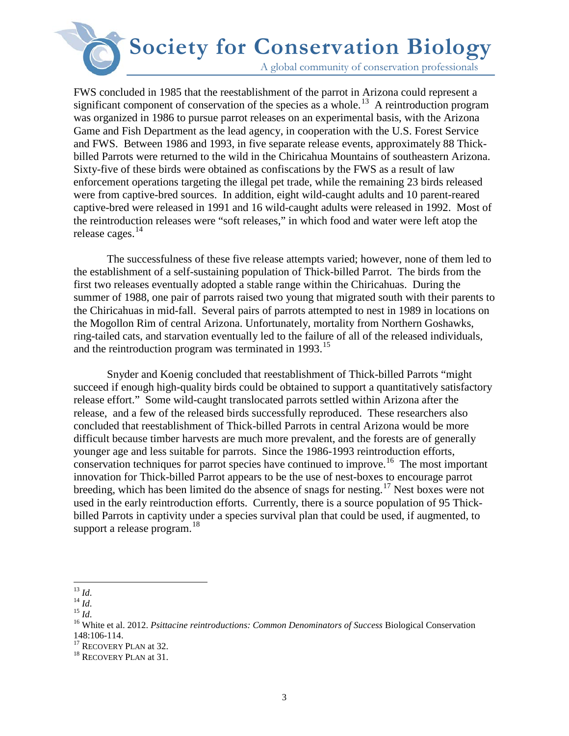A global community of conservation professionals

FWS concluded in 1985 that the reestablishment of the parrot in Arizona could represent a significant component of conservation of the species as a whole.<sup>[13](#page-2-0)</sup> A reintroduction program was organized in 1986 to pursue parrot releases on an experimental basis, with the Arizona Game and Fish Department as the lead agency, in cooperation with the U.S. Forest Service and FWS. Between 1986 and 1993, in five separate release events, approximately 88 Thickbilled Parrots were returned to the wild in the Chiricahua Mountains of southeastern Arizona. Sixty-five of these birds were obtained as confiscations by the FWS as a result of law enforcement operations targeting the illegal pet trade, while the remaining 23 birds released were from captive-bred sources. In addition, eight wild-caught adults and 10 parent-reared captive-bred were released in 1991 and 16 wild-caught adults were released in 1992. Most of the reintroduction releases were "soft releases," in which food and water were left atop the release cages.<sup>[14](#page-2-1)</sup>

The successfulness of these five release attempts varied; however, none of them led to the establishment of a self-sustaining population of Thick-billed Parrot. The birds from the first two releases eventually adopted a stable range within the Chiricahuas. During the summer of 1988, one pair of parrots raised two young that migrated south with their parents to the Chiricahuas in mid-fall. Several pairs of parrots attempted to nest in 1989 in locations on the Mogollon Rim of central Arizona. Unfortunately, mortality from Northern Goshawks, ring-tailed cats, and starvation eventually led to the failure of all of the released individuals, and the reintroduction program was terminated in 1993.<sup>15</sup>

Snyder and Koenig concluded that reestablishment of Thick-billed Parrots "might succeed if enough high-quality birds could be obtained to support a quantitatively satisfactory release effort." Some wild-caught translocated parrots settled within Arizona after the release, and a few of the released birds successfully reproduced. These researchers also concluded that reestablishment of Thick-billed Parrots in central Arizona would be more difficult because timber harvests are much more prevalent, and the forests are of generally younger age and less suitable for parrots. Since the 1986-1993 reintroduction efforts, conservation techniques for parrot species have continued to improve.<sup>[16](#page-2-3)</sup> The most important innovation for Thick-billed Parrot appears to be the use of nest-boxes to encourage parrot breeding, which has been limited do the absence of snags for nesting.<sup>[17](#page-2-4)</sup> Nest boxes were not used in the early reintroduction efforts. Currently, there is a source population of 95 Thickbilled Parrots in captivity under a species survival plan that could be used, if augmented, to support a release program. $^{18}$  $^{18}$  $^{18}$ 

<span id="page-2-0"></span> $^{13}$  Id.

<span id="page-2-3"></span>

<span id="page-2-2"></span><span id="page-2-1"></span><sup>14</sup> *Id.*<br><sup>15</sup> *Id.*<br><sup>15</sup> *Id.* 15 *Id.* 15 *Id.* 16 White et al. 2012. *Psittacine reintroductions: Common Denominators of Success* Biological Conservation 148:106-114.<br><sup>17</sup> RECOVERY PLAN at 32.<br><sup>18</sup> RECOVERY PLAN at 31.

<span id="page-2-4"></span>

<span id="page-2-5"></span>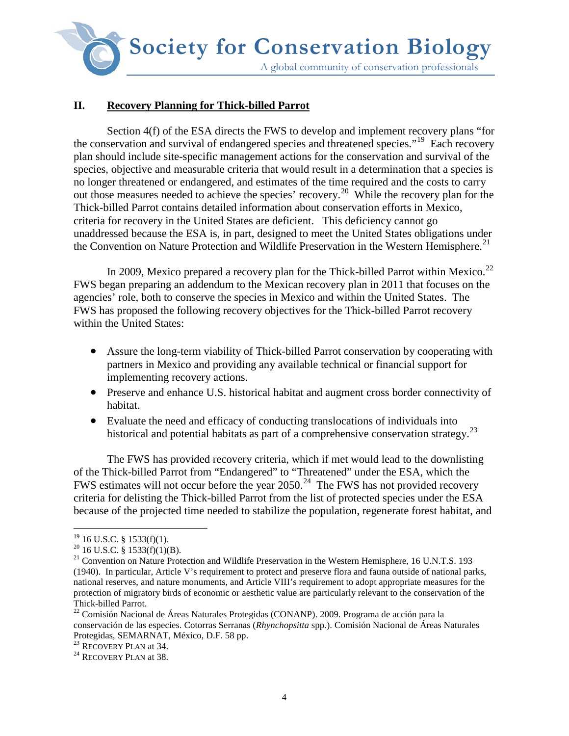**Society for Conservation Biology**A global community of conservation professionals

# **II. Recovery Planning for Thick-billed Parrot**

Section 4(f) of the ESA directs the FWS to develop and implement recovery plans "for the conservation and survival of endangered species and threatened species."[19](#page-3-0) Each recovery plan should include site-specific management actions for the conservation and survival of the species, objective and measurable criteria that would result in a determination that a species is no longer threatened or endangered, and estimates of the time required and the costs to carry out those measures needed to achieve the species' recovery.[20](#page-3-1) While the recovery plan for the Thick-billed Parrot contains detailed information about conservation efforts in Mexico, criteria for recovery in the United States are deficient. This deficiency cannot go unaddressed because the ESA is, in part, designed to meet the United States obligations under the Convention on Nature Protection and Wildlife Preservation in the Western Hemisphere.<sup>[21](#page-3-2)</sup>

In 2009, Mexico prepared a recovery plan for the Thick-billed Parrot within Mexico.<sup>[22](#page-3-3)</sup> FWS began preparing an addendum to the Mexican recovery plan in 2011 that focuses on the agencies' role, both to conserve the species in Mexico and within the United States. The FWS has proposed the following recovery objectives for the Thick-billed Parrot recovery within the United States:

- Assure the long-term viability of Thick-billed Parrot conservation by cooperating with partners in Mexico and providing any available technical or financial support for implementing recovery actions.
- Preserve and enhance U.S. historical habitat and augment cross border connectivity of habitat.
- Evaluate the need and efficacy of conducting translocations of individuals into historical and potential habitats as part of a comprehensive conservation strategy.<sup>[23](#page-3-4)</sup>

The FWS has provided recovery criteria, which if met would lead to the downlisting of the Thick-billed Parrot from "Endangered" to "Threatened" under the ESA, which the FWS estimates will not occur before the year  $2050.<sup>24</sup>$  The FWS has not provided recovery criteria for delisting the Thick-billed Parrot from the list of protected species under the ESA because of the projected time needed to stabilize the population, regenerate forest habitat, and

 $19$  16 U.S.C. § 1533(f)(1).

<span id="page-3-2"></span><span id="page-3-1"></span><span id="page-3-0"></span><sup>&</sup>lt;sup>20</sup> 16 U.S.C. § 1533(f)(1)(B).<br><sup>21</sup> Convention on Nature Protection and Wildlife Preservation in the Western Hemisphere, 16 U.N.T.S. 193 (1940). In particular, Article V's requirement to protect and preserve flora and fauna outside of national parks, national reserves, and nature monuments, and Article VIII's requirement to adopt appropriate measures for the protection of migratory birds of economic or aesthetic value are particularly relevant to the conservation of the

<span id="page-3-3"></span>Thick-billed Parrot. <sup>22</sup> Comisión Nacional de Áreas Naturales Protegidas (CONANP). 2009. Programa de acción para la conservación de las especies. Cotorras Serranas (*Rhynchopsitta* spp.). Comisión Nacional de Áreas Naturales Protegidas, SEMARNAT, México, D.F. 58 pp.

<span id="page-3-5"></span><span id="page-3-4"></span> $^{23}$  RECOVERY PLAN at 34.<br><sup>24</sup> RECOVERY PLAN at 38.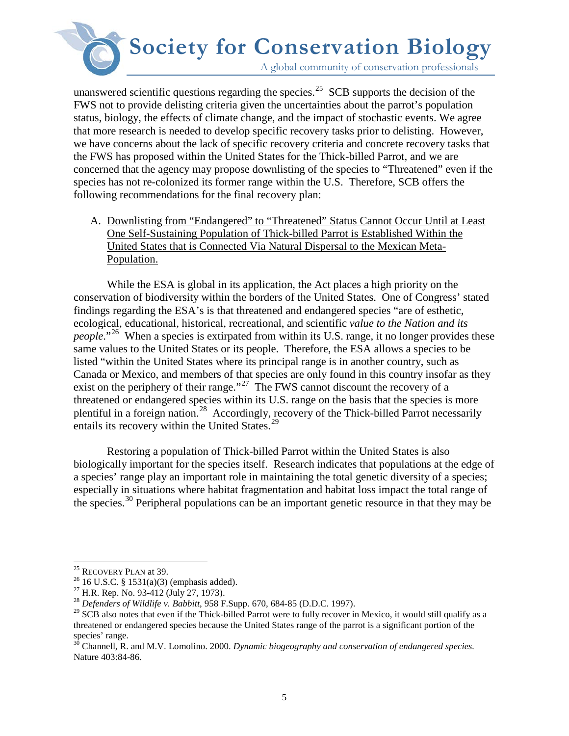A global community of conservation professionals

unanswered scientific questions regarding the species.<sup>25</sup> SCB supports the decision of the FWS not to provide delisting criteria given the uncertainties about the parrot's population status, biology, the effects of climate change, and the impact of stochastic events. We agree that more research is needed to develop specific recovery tasks prior to delisting. However, we have concerns about the lack of specific recovery criteria and concrete recovery tasks that the FWS has proposed within the United States for the Thick-billed Parrot, and we are concerned that the agency may propose downlisting of the species to "Threatened" even if the species has not re-colonized its former range within the U.S. Therefore, SCB offers the following recommendations for the final recovery plan:

A. Downlisting from "Endangered" to "Threatened" Status Cannot Occur Until at Least One Self-Sustaining Population of Thick-billed Parrot is Established Within the United States that is Connected Via Natural Dispersal to the Mexican Meta-Population.

While the ESA is global in its application, the Act places a high priority on the conservation of biodiversity within the borders of the United States. One of Congress' stated findings regarding the ESA's is that threatened and endangered species "are of esthetic, ecological, educational, historical, recreational, and scientific *value to the Nation and its people*."<sup>[26](#page-4-1)</sup> When a species is extirpated from within its U.S. range, it no longer provides these same values to the United States or its people. Therefore, the ESA allows a species to be listed "within the United States where its principal range is in another country, such as Canada or Mexico, and members of that species are only found in this country insofar as they exist on the periphery of their range."<sup>[27](#page-4-2)</sup> The FWS cannot discount the recovery of a threatened or endangered species within its U.S. range on the basis that the species is more plentiful in a foreign nation.[28](#page-4-3) Accordingly, recovery of the Thick-billed Parrot necessarily entails its recovery within the United States.<sup>[29](#page-4-4)</sup>

Restoring a population of Thick-billed Parrot within the United States is also biologically important for the species itself. Research indicates that populations at the edge of a species' range play an important role in maintaining the total genetic diversity of a species; especially in situations where habitat fragmentation and habitat loss impact the total range of the species.[30](#page-4-5) Peripheral populations can be an important genetic resource in that they may be

<span id="page-4-0"></span><sup>&</sup>lt;sup>25</sup> RECOVERY PLAN at 39.

<span id="page-4-2"></span><span id="page-4-1"></span><sup>&</sup>lt;sup>26</sup> 16 U.S.C. § 1531(a)(3) (emphasis added).<br><sup>27</sup> H.R. Rep. No. 93-412 (July 27, 1973).<br><sup>28</sup> *Defenders of Wildlife v. Babbitt*, 958 F.Supp. 670, 684-85 (D.D.C. 1997).

<span id="page-4-4"></span><span id="page-4-3"></span><sup>&</sup>lt;sup>29</sup> SCB also notes that even if the Thick-billed Parrot were to fully recover in Mexico, it would still qualify as a threatened or endangered species because the United States range of the parrot is a significant portion of the species' range.

<span id="page-4-5"></span><sup>&</sup>lt;sup>30</sup> Channell, R. and M.V. Lomolino. 2000. *Dynamic biogeography and conservation of endangered species*. Nature 403:84-86.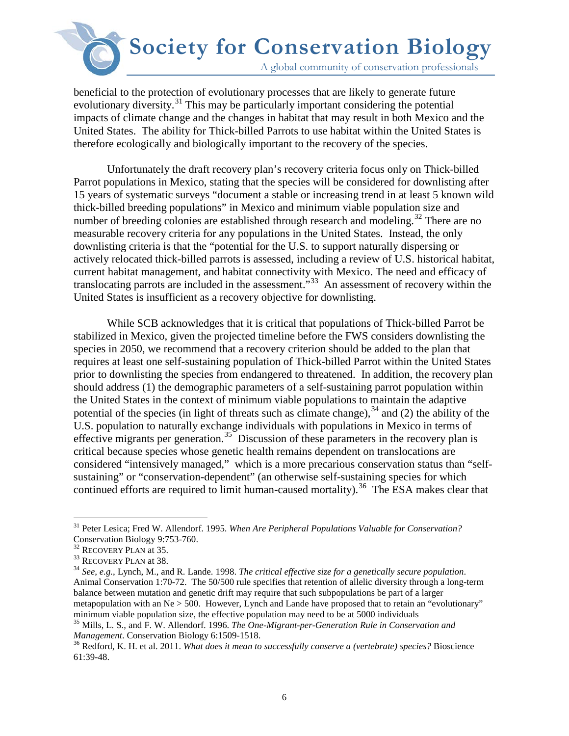A global community of conservation professionals

beneficial to the protection of evolutionary processes that are likely to generate future evolutionary diversity.<sup>[31](#page-5-0)</sup> This may be particularly important considering the potential impacts of climate change and the changes in habitat that may result in both Mexico and the United States. The ability for Thick-billed Parrots to use habitat within the United States is therefore ecologically and biologically important to the recovery of the species.

 Unfortunately the draft recovery plan's recovery criteria focus only on Thick-billed Parrot populations in Mexico, stating that the species will be considered for downlisting after 15 years of systematic surveys "document a stable or increasing trend in at least 5 known wild thick-billed breeding populations" in Mexico and minimum viable population size and number of breeding colonies are established through research and modeling.<sup>[32](#page-5-1)</sup> There are no measurable recovery criteria for any populations in the United States. Instead, the only downlisting criteria is that the "potential for the U.S. to support naturally dispersing or actively relocated thick-billed parrots is assessed, including a review of U.S. historical habitat, current habitat management, and habitat connectivity with Mexico. The need and efficacy of translocating parrots are included in the assessment.<sup>533</sup> An assessment of recovery within the United States is insufficient as a recovery objective for downlisting.

While SCB acknowledges that it is critical that populations of Thick-billed Parrot be stabilized in Mexico, given the projected timeline before the FWS considers downlisting the species in 2050, we recommend that a recovery criterion should be added to the plan that requires at least one self-sustaining population of Thick-billed Parrot within the United States prior to downlisting the species from endangered to threatened. In addition, the recovery plan should address (1) the demographic parameters of a self-sustaining parrot population within the United States in the context of minimum viable populations to maintain the adaptive potential of the species (in light of threats such as climate change),  $34$  and (2) the ability of the U.S. population to naturally exchange individuals with populations in Mexico in terms of effective migrants per generation.<sup>35</sup> Discussion of these parameters in the recovery plan is critical because species whose genetic health remains dependent on translocations are considered "intensively managed," which is a more precarious conservation status than "selfsustaining" or "conservation-dependent" (an otherwise self-sustaining species for which continued efforts are required to limit human-caused mortality).<sup>[36](#page-5-5)</sup> The ESA makes clear that

 $\overline{a}$ <sup>31</sup> Peter Lesica; Fred W. Allendorf. 1995. *When Are Peripheral Populations Valuable for Conservation?*

<span id="page-5-3"></span><span id="page-5-2"></span>

<span id="page-5-1"></span><span id="page-5-0"></span>Conservation Biology 9:753-760.<br><sup>32</sup> RECOVERY PLAN at 35.<br><sup>33</sup> RECOVERY PLAN at 38.<br><sup>34</sup> *See, e.g.*, Lynch, M., and R. Lande. 1998. *The critical effective size for a genetically secure population*. Animal Conservation 1:70-72. The 50/500 rule specifies that retention of allelic diversity through a long-term balance between mutation and genetic drift may require that such subpopulations be part of a larger metapopulation with an Ne > 500. However, Lynch and Lande have proposed that to retain an "evolutionary" minimum viable population size, the effective population may need to be at 5000 individuals

<span id="page-5-4"></span><sup>35</sup> Mills, L. S., and F. W. Allendorf. 1996. *The One-Migrant-per-Generation Rule in Conservation and Management*. Conservation Biology 6:1509-1518.<br><sup>36</sup> Redford, K. H. et al. 2011. *What does it mean to successfully conserve a (vertebrate) species?* Bioscience

<span id="page-5-5"></span><sup>61:39-48.</sup>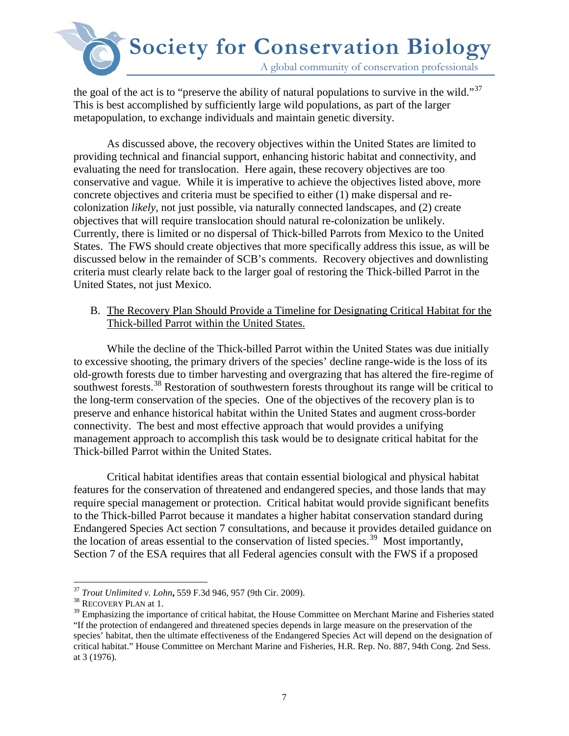

the goal of the act is to "preserve the ability of natural populations to survive in the wild."<sup>[37](#page-6-0)</sup> This is best accomplished by sufficiently large wild populations, as part of the larger metapopulation, to exchange individuals and maintain genetic diversity.

As discussed above, the recovery objectives within the United States are limited to providing technical and financial support, enhancing historic habitat and connectivity, and evaluating the need for translocation. Here again, these recovery objectives are too conservative and vague. While it is imperative to achieve the objectives listed above, more concrete objectives and criteria must be specified to either (1) make dispersal and recolonization *likely*, not just possible, via naturally connected landscapes, and (2) create objectives that will require translocation should natural re-colonization be unlikely. Currently, there is limited or no dispersal of Thick-billed Parrots from Mexico to the United States. The FWS should create objectives that more specifically address this issue, as will be discussed below in the remainder of SCB's comments. Recovery objectives and downlisting criteria must clearly relate back to the larger goal of restoring the Thick-billed Parrot in the United States, not just Mexico.

B. The Recovery Plan Should Provide a Timeline for Designating Critical Habitat for the Thick-billed Parrot within the United States.

While the decline of the Thick-billed Parrot within the United States was due initially to excessive shooting, the primary drivers of the species' decline range-wide is the loss of its old-growth forests due to timber harvesting and overgrazing that has altered the fire-regime of southwest forests.<sup>[38](#page-6-1)</sup> Restoration of southwestern forests throughout its range will be critical to the long-term conservation of the species. One of the objectives of the recovery plan is to preserve and enhance historical habitat within the United States and augment cross-border connectivity. The best and most effective approach that would provides a unifying management approach to accomplish this task would be to designate critical habitat for the Thick-billed Parrot within the United States.

Critical habitat identifies areas that contain essential biological and physical habitat features for the conservation of threatened and endangered species, and those lands that may require special management or protection. Critical habitat would provide significant benefits to the Thick-billed Parrot because it mandates a higher habitat conservation standard during Endangered Species Act section 7 consultations, and because it provides detailed guidance on the location of areas essential to the conservation of listed species.<sup>[39](#page-6-2)</sup> Most importantly, Section 7 of the ESA requires that all Federal agencies consult with the FWS if a proposed

 $\overline{a}$ <sup>37</sup> *Trout Unlimited v. Lohn,* 559 F.3d 946, 957 (9th Cir. 2009).<br><sup>38</sup> RECOVERY PLAN at 1.

<span id="page-6-2"></span><span id="page-6-1"></span><span id="page-6-0"></span><sup>&</sup>lt;sup>38</sup> RECOVERY PLAN at 1.<br><sup>39</sup> Emphasizing the importance of critical habitat, the House Committee on Merchant Marine and Fisheries stated "If the protection of endangered and threatened species depends in large measure on the preservation of the species' habitat, then the ultimate effectiveness of the Endangered Species Act will depend on the designation of critical habitat." House Committee on Merchant Marine and Fisheries, H.R. Rep. No. 887, 94th Cong. 2nd Sess. at 3 (1976).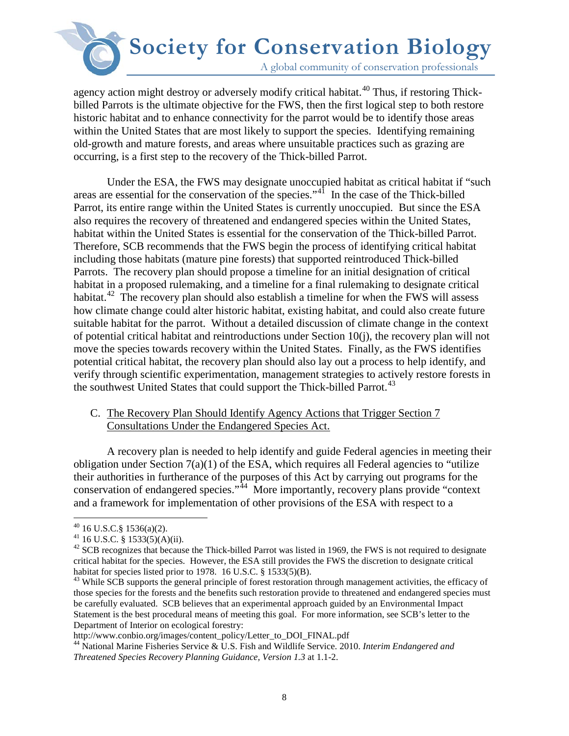A global community of conservation professionals

agency action might destroy or adversely modify critical habitat.<sup>[40](#page-7-0)</sup> Thus, if restoring Thickbilled Parrots is the ultimate objective for the FWS, then the first logical step to both restore historic habitat and to enhance connectivity for the parrot would be to identify those areas within the United States that are most likely to support the species. Identifying remaining old-growth and mature forests, and areas where unsuitable practices such as grazing are occurring, is a first step to the recovery of the Thick-billed Parrot.

Under the ESA, the FWS may designate unoccupied habitat as critical habitat if "such areas are essential for the conservation of the species."<sup>[41](#page-7-1)</sup> In the case of the Thick-billed Parrot, its entire range within the United States is currently unoccupied. But since the ESA also requires the recovery of threatened and endangered species within the United States, habitat within the United States is essential for the conservation of the Thick-billed Parrot. Therefore, SCB recommends that the FWS begin the process of identifying critical habitat including those habitats (mature pine forests) that supported reintroduced Thick-billed Parrots. The recovery plan should propose a timeline for an initial designation of critical habitat in a proposed rulemaking, and a timeline for a final rulemaking to designate critical habitat.<sup>[42](#page-7-2)</sup> The recovery plan should also establish a timeline for when the FWS will assess how climate change could alter historic habitat, existing habitat, and could also create future suitable habitat for the parrot. Without a detailed discussion of climate change in the context of potential critical habitat and reintroductions under Section 10(j), the recovery plan will not move the species towards recovery within the United States. Finally, as the FWS identifies potential critical habitat, the recovery plan should also lay out a process to help identify, and verify through scientific experimentation, management strategies to actively restore forests in the southwest United States that could support the Thick-billed Parrot.<sup>[43](#page-7-3)</sup>

### C. The Recovery Plan Should Identify Agency Actions that Trigger Section 7 Consultations Under the Endangered Species Act.

A recovery plan is needed to help identify and guide Federal agencies in meeting their obligation under Section  $7(a)(1)$  of the ESA, which requires all Federal agencies to "utilize" their authorities in furtherance of the purposes of this Act by carrying out programs for the conservation of endangered species."<sup>44</sup> More importantly, recovery plans provide "context" and a framework for implementation of other provisions of the ESA with respect to a

 $40$  16 U.S.C. § 1536(a)(2).

<span id="page-7-2"></span><span id="page-7-1"></span><span id="page-7-0"></span><sup>41 16</sup> U.S.C. § 1533(5)(A)(ii).<br>
<sup>41</sup> 16 U.S.C. § 1533(5)(A)(ii).<br>
<sup>42</sup> SCB recognizes that because the Thick-billed Parrot was listed in 1969, the FWS is not required to designate critical habitat for the species. However, the ESA still provides the FWS the discretion to designate critical habitat for species listed prior to 1978. 16 U.S.C. § 1533(5)(B).

<span id="page-7-3"></span> $43$  While SCB supports the general principle of forest restoration through management activities, the efficacy of those species for the forests and the benefits such restoration provide to threatened and endangered species must be carefully evaluated. SCB believes that an experimental approach guided by an Environmental Impact Statement is the best procedural means of meeting this goal. For more information, see SCB's letter to the Department of Interior on ecological forestry:<br>http://www.conbio.org/images/content\_policy/Letter\_to\_DOI\_FINAL.pdf

<span id="page-7-4"></span><sup>&</sup>lt;sup>44</sup> National Marine Fisheries Service & U.S. Fish and Wildlife Service. 2010. *Interim Endangered and Threatened Species Recovery Planning Guidance, Version 1.3* at 1.1-2.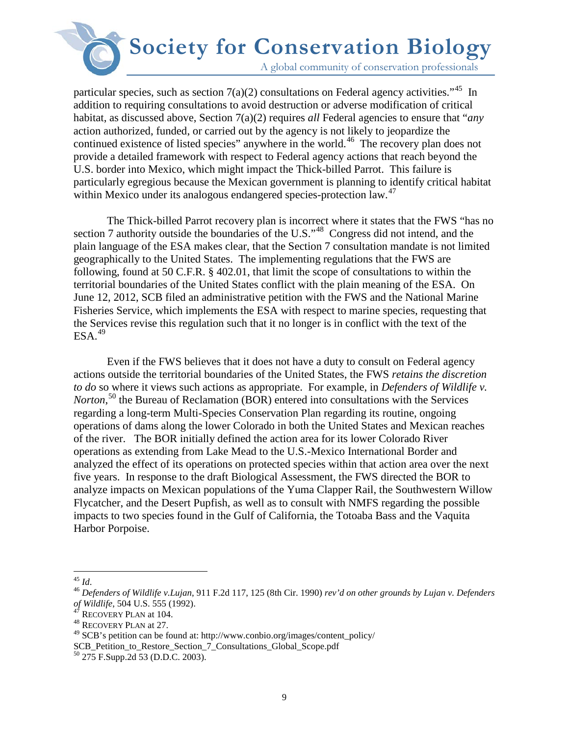A global community of conservation professionals

particular species, such as section  $7(a)(2)$  consultations on Federal agency activities.<sup>45</sup> In addition to requiring consultations to avoid destruction or adverse modification of critical habitat, as discussed above, Section 7(a)(2) requires *all* Federal agencies to ensure that "*any* action authorized, funded, or carried out by the agency is not likely to jeopardize the continued existence of listed species" anywhere in the world.<sup>[46](#page-8-1)</sup> The recovery plan does not provide a detailed framework with respect to Federal agency actions that reach beyond the U.S. border into Mexico, which might impact the Thick-billed Parrot. This failure is particularly egregious because the Mexican government is planning to identify critical habitat within Mexico under its analogous endangered species-protection law.<sup>[47](#page-8-2)</sup>

The Thick-billed Parrot recovery plan is incorrect where it states that the FWS "has no section 7 authority outside the boundaries of the U.S.<sup>1[48](#page-8-3)</sup> Congress did not intend, and the plain language of the ESA makes clear, that the Section 7 consultation mandate is not limited geographically to the United States. The implementing regulations that the FWS are following, found at 50 C.F.R. § 402.01, that limit the scope of consultations to within the territorial boundaries of the United States conflict with the plain meaning of the ESA. On June 12, 2012, SCB filed an administrative petition with the FWS and the National Marine Fisheries Service, which implements the ESA with respect to marine species, requesting that the Services revise this regulation such that it no longer is in conflict with the text of the  $ESA.<sup>49</sup>$ 

Even if the FWS believes that it does not have a duty to consult on Federal agency actions outside the territorial boundaries of the United States, the FWS *retains the discretion to do* so where it views such actions as appropriate. For example, in *Defenders of Wildlife v.*  Norton,<sup>50</sup> the Bureau of Reclamation (BOR) entered into consultations with the Services regarding a long-term Multi-Species Conservation Plan regarding its routine, ongoing operations of dams along the lower Colorado in both the United States and Mexican reaches of the river. The BOR initially defined the action area for its lower Colorado River operations as extending from Lake Mead to the U.S.-Mexico International Border and analyzed the effect of its operations on protected species within that action area over the next five years. In response to the draft Biological Assessment, the FWS directed the BOR to analyze impacts on Mexican populations of the Yuma Clapper Rail, the Southwestern Willow Flycatcher, and the Desert Pupfish, as well as to consult with NMFS regarding the possible impacts to two species found in the Gulf of California, the Totoaba Bass and the Vaquita Harbor Porpoise.

<span id="page-8-5"></span>SCB\_Petition\_to\_Restore\_Section\_7\_Consultations\_Global\_Scope.pdf <sup>50</sup> 275 F.Supp.2d 53 (D.D.C. 2003).

<span id="page-8-0"></span> $^{45}\,$  Id.

<span id="page-8-1"></span><sup>&</sup>lt;sup>46</sup> *Defenders of Wildlife v.Lujan*, 911 F.2d 117, 125 (8th Cir. 1990) *rev'd on other grounds by Lujan v. Defenders of Wildlife*, 504 U.S. 555 (1992).

<span id="page-8-3"></span><span id="page-8-2"></span><sup>&</sup>lt;sup>47</sup> RECOVERY PLAN at 104.<br><sup>48</sup> RECOVERY PLAN at 27.

<span id="page-8-4"></span><sup>49</sup> SCB's petition can be found at: http://www.conbio.org/images/content\_policy/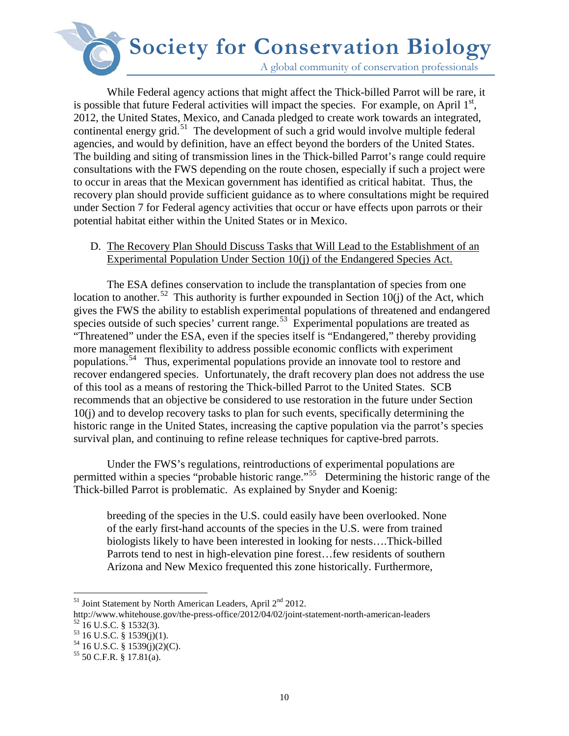A global community of conservation professionals

While Federal agency actions that might affect the Thick-billed Parrot will be rare, it is possible that future Federal activities will impact the species. For example, on April  $1<sup>st</sup>$ , 2012, the United States, Mexico, and Canada pledged to create work towards an integrated, continental energy grid.<sup>[51](#page-9-0)</sup> The development of such a grid would involve multiple federal agencies, and would by definition, have an effect beyond the borders of the United States. The building and siting of transmission lines in the Thick-billed Parrot's range could require consultations with the FWS depending on the route chosen, especially if such a project were to occur in areas that the Mexican government has identified as critical habitat. Thus, the recovery plan should provide sufficient guidance as to where consultations might be required under Section 7 for Federal agency activities that occur or have effects upon parrots or their potential habitat either within the United States or in Mexico.

### D. The Recovery Plan Should Discuss Tasks that Will Lead to the Establishment of an Experimental Population Under Section 10(j) of the Endangered Species Act.

The ESA defines conservation to include the transplantation of species from one location to another.<sup>52</sup> This authority is further expounded in Section 10(j) of the Act, which gives the FWS the ability to establish experimental populations of threatened and endangered species outside of such species' current range.<sup>[53](#page-9-2)</sup> Experimental populations are treated as "Threatened" under the ESA, even if the species itself is "Endangered," thereby providing more management flexibility to address possible economic conflicts with experiment populations.[54](#page-9-3) Thus, experimental populations provide an innovate tool to restore and recover endangered species. Unfortunately, the draft recovery plan does not address the use of this tool as a means of restoring the Thick-billed Parrot to the United States. SCB recommends that an objective be considered to use restoration in the future under Section 10(j) and to develop recovery tasks to plan for such events, specifically determining the historic range in the United States, increasing the captive population via the parrot's species survival plan, and continuing to refine release techniques for captive-bred parrots.

Under the FWS's regulations, reintroductions of experimental populations are permitted within a species "probable historic range."[55](#page-9-4) Determining the historic range of the Thick-billed Parrot is problematic. As explained by Snyder and Koenig:

breeding of the species in the U.S. could easily have been overlooked. None of the early first-hand accounts of the species in the U.S. were from trained biologists likely to have been interested in looking for nests….Thick-billed Parrots tend to nest in high-elevation pine forest…few residents of southern Arizona and New Mexico frequented this zone historically. Furthermore,

 $\overline{a}$ <sup>51</sup> Joint Statement by North American Leaders, April 2<sup>nd</sup> 2012.

<span id="page-9-1"></span><span id="page-9-0"></span>http://www.whitehouse.gov/the-press-office/2012/04/02/joint-statement-north-american-leaders <sup>52</sup> 16 U.S.C. § 1532(3).<br><sup>53</sup> 16 U.S.C. § 1539(j)(1). <sup>54</sup> 16 U.S.C. § 1539(j)(2)(C). <sup>55</sup> 50 C.F.R. § 17.81(a).

<span id="page-9-2"></span>

<span id="page-9-3"></span>

<span id="page-9-4"></span>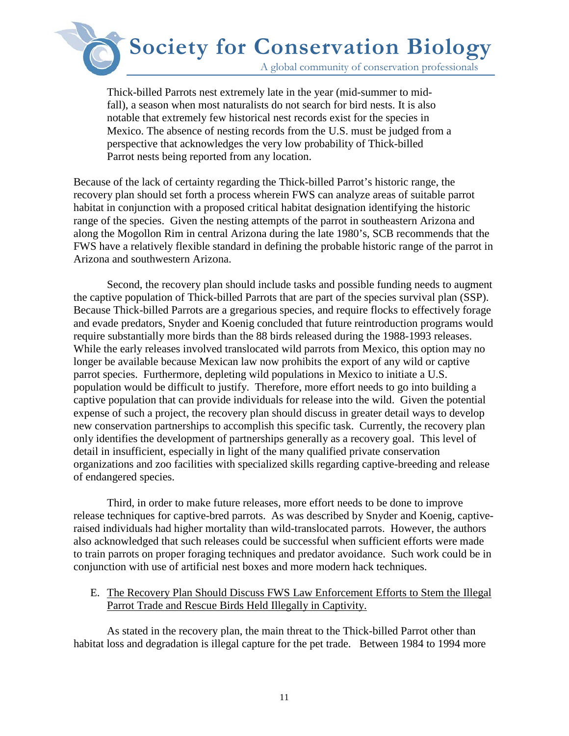A global community of conservation professionals

Thick-billed Parrots nest extremely late in the year (mid-summer to midfall), a season when most naturalists do not search for bird nests. It is also notable that extremely few historical nest records exist for the species in Mexico. The absence of nesting records from the U.S. must be judged from a perspective that acknowledges the very low probability of Thick-billed Parrot nests being reported from any location.

Because of the lack of certainty regarding the Thick-billed Parrot's historic range, the recovery plan should set forth a process wherein FWS can analyze areas of suitable parrot habitat in conjunction with a proposed critical habitat designation identifying the historic range of the species. Given the nesting attempts of the parrot in southeastern Arizona and along the Mogollon Rim in central Arizona during the late 1980's, SCB recommends that the FWS have a relatively flexible standard in defining the probable historic range of the parrot in Arizona and southwestern Arizona.

Second, the recovery plan should include tasks and possible funding needs to augment the captive population of Thick-billed Parrots that are part of the species survival plan (SSP). Because Thick-billed Parrots are a gregarious species, and require flocks to effectively forage and evade predators, Snyder and Koenig concluded that future reintroduction programs would require substantially more birds than the 88 birds released during the 1988-1993 releases. While the early releases involved translocated wild parrots from Mexico, this option may no longer be available because Mexican law now prohibits the export of any wild or captive parrot species. Furthermore, depleting wild populations in Mexico to initiate a U.S. population would be difficult to justify. Therefore, more effort needs to go into building a captive population that can provide individuals for release into the wild. Given the potential expense of such a project, the recovery plan should discuss in greater detail ways to develop new conservation partnerships to accomplish this specific task. Currently, the recovery plan only identifies the development of partnerships generally as a recovery goal. This level of detail in insufficient, especially in light of the many qualified private conservation organizations and zoo facilities with specialized skills regarding captive-breeding and release of endangered species.

Third, in order to make future releases, more effort needs to be done to improve release techniques for captive-bred parrots. As was described by Snyder and Koenig, captiveraised individuals had higher mortality than wild-translocated parrots. However, the authors also acknowledged that such releases could be successful when sufficient efforts were made to train parrots on proper foraging techniques and predator avoidance. Such work could be in conjunction with use of artificial nest boxes and more modern hack techniques.

### E. The Recovery Plan Should Discuss FWS Law Enforcement Efforts to Stem the Illegal Parrot Trade and Rescue Birds Held Illegally in Captivity.

As stated in the recovery plan, the main threat to the Thick-billed Parrot other than habitat loss and degradation is illegal capture for the pet trade. Between 1984 to 1994 more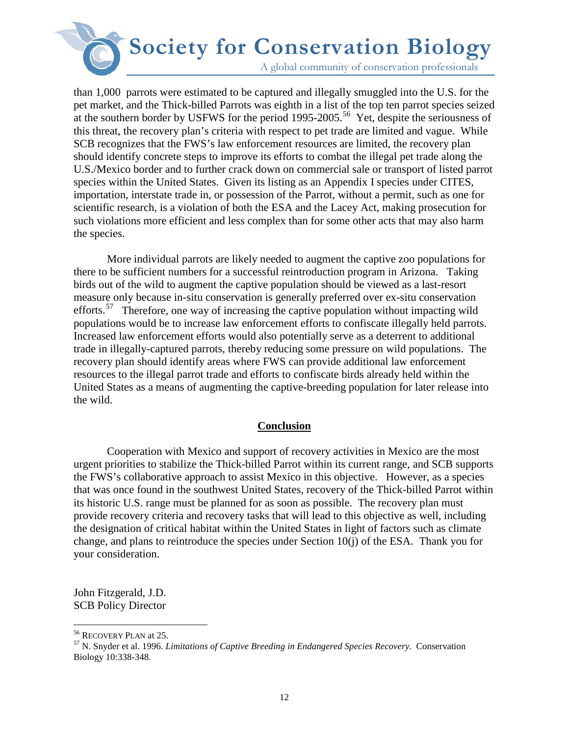A global community of conservation professionals

than 1,000 parrots were estimated to be captured and illegally smuggled into the U.S. for the pet market, and the Thick-billed Parrots was eighth in a list of the top ten parrot species seized at the southern border by USFWS for the period 1995-2005.<sup>[56](#page-11-0)</sup> Yet, despite the seriousness of this threat, the recovery plan's criteria with respect to pet trade are limited and vague. While SCB recognizes that the FWS's law enforcement resources are limited, the recovery plan should identify concrete steps to improve its efforts to combat the illegal pet trade along the U.S./Mexico border and to further crack down on commercial sale or transport of listed parrot species within the United States. Given its listing as an Appendix I species under CITES, importation, interstate trade in, or possession of the Parrot, without a permit, such as one for scientific research, is a violation of both the ESA and the Lacey Act, making prosecution for such violations more efficient and less complex than for some other acts that may also harm the species.

 More individual parrots are likely needed to augment the captive zoo populations for there to be sufficient numbers for a successful reintroduction program in Arizona. Taking birds out of the wild to augment the captive population should be viewed as a last-resort measure only because in-situ conservation is generally preferred over ex-situ conservation efforts.<sup>[57](#page-11-1)</sup> Therefore, one way of increasing the captive population without impacting wild populations would be to increase law enforcement efforts to confiscate illegally held parrots. Increased law enforcement efforts would also potentially serve as a deterrent to additional trade in illegally-captured parrots, thereby reducing some pressure on wild populations. The recovery plan should identify areas where FWS can provide additional law enforcement resources to the illegal parrot trade and efforts to confiscate birds already held within the United States as a means of augmenting the captive-breeding population for later release into the wild.

#### **Conclusion**

Cooperation with Mexico and support of recovery activities in Mexico are the most urgent priorities to stabilize the Thick-billed Parrot within its current range, and SCB supports the FWS's collaborative approach to assist Mexico in this objective. However, as a species that was once found in the southwest United States, recovery of the Thick-billed Parrot within its historic U.S. range must be planned for as soon as possible. The recovery plan must provide recovery criteria and recovery tasks that will lead to this objective as well, including the designation of critical habitat within the United States in light of factors such as climate change, and plans to reintroduce the species under Section 10(j) of the ESA. Thank you for your consideration.

John Fitzgerald, J.D. SCB Policy Director

<span id="page-11-0"></span><sup>&</sup>lt;sup>56</sup> RECOVERY PLAN at 25.

<span id="page-11-1"></span><sup>&</sup>lt;sup>57</sup> N. Snyder et al. 1996. *Limitations of Captive Breeding in Endangered Species Recovery.* Conservation Biology 10:338-348.